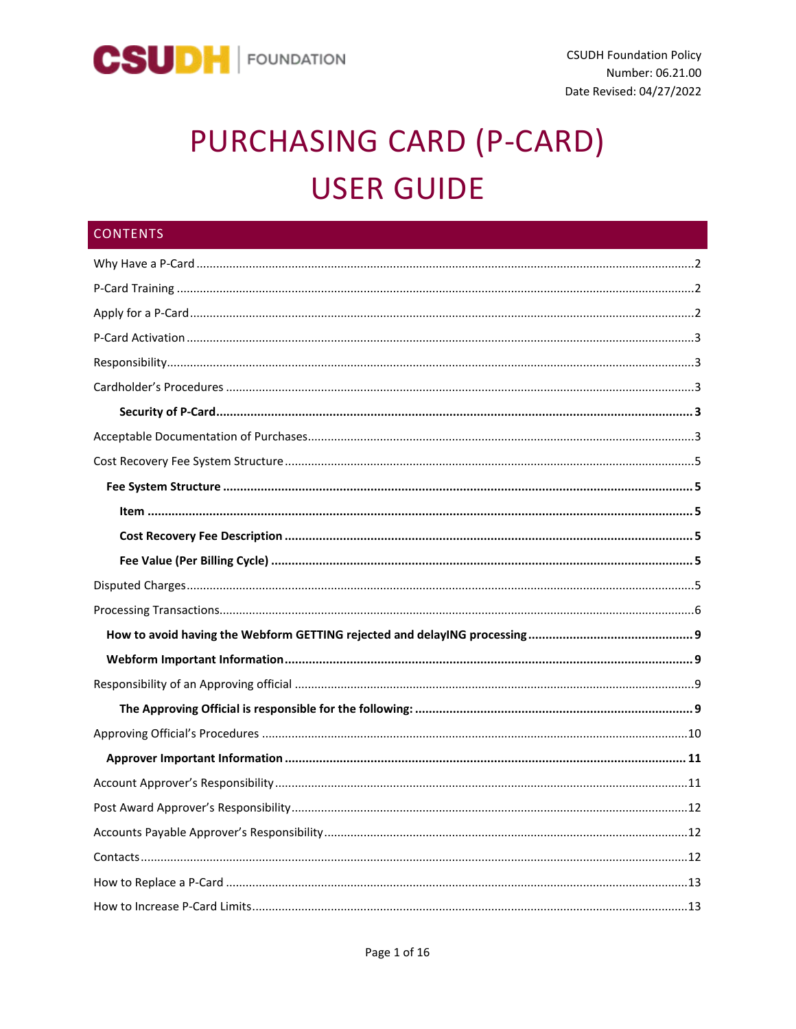

# PURCHASING CARD (P-CARD) **USER GUIDE**

| <b>CONTENTS</b> |
|-----------------|
|                 |
|                 |
|                 |
|                 |
|                 |
|                 |
|                 |
|                 |
|                 |
|                 |
|                 |
|                 |
|                 |
|                 |
|                 |
|                 |
|                 |
|                 |
|                 |
|                 |
|                 |
|                 |
|                 |
|                 |
|                 |
|                 |
|                 |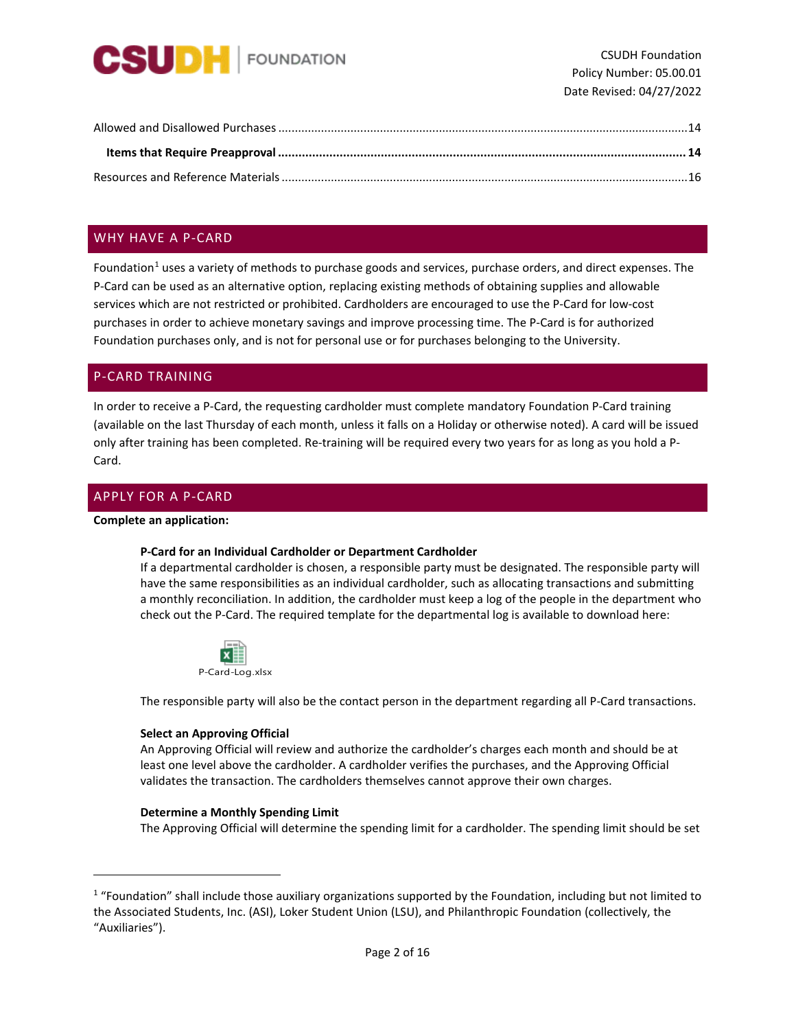

## <span id="page-1-0"></span>WHY HAVE A P-CARD

Foundation<sup>[1](#page-1-3)</sup> uses a variety of methods to purchase goods and services, purchase orders, and direct expenses. The P-Card can be used as an alternative option, replacing existing methods of obtaining supplies and allowable services which are not restricted or prohibited. Cardholders are encouraged to use the P-Card for low-cost purchases in order to achieve monetary savings and improve processing time. The P-Card is for authorized Foundation purchases only, and is not for personal use or for purchases belonging to the University.

## <span id="page-1-1"></span>P-CARD TRAINING

In order to receive a P-Card, the requesting cardholder must complete mandatory Foundation P-Card training (available on the last Thursday of each month, unless it falls on a Holiday or otherwise noted). A card will be issued only after training has been completed. Re-training will be required every two years for as long as you hold a P-Card.

## <span id="page-1-2"></span>APPLY FOR A P-CARD

#### **Complete an application:**

#### **P-Card for an Individual Cardholder or Department Cardholder**

If a departmental cardholder is chosen, a responsible party must be designated. The responsible party will have the same responsibilities as an individual cardholder, such as allocating transactions and submitting a monthly reconciliation. In addition, the cardholder must keep a log of the people in the department who check out the P-Card. The required template for the departmental log is available to download here:



The responsible party will also be the contact person in the department regarding all P-Card transactions.

#### **Select an Approving Official**

An Approving Official will review and authorize the cardholder's charges each month and should be at least one level above the cardholder. A cardholder verifies the purchases, and the Approving Official validates the transaction. The cardholders themselves cannot approve their own charges.

#### **Determine a Monthly Spending Limit**

The Approving Official will determine the spending limit for a cardholder. The spending limit should be set

<span id="page-1-3"></span><sup>&</sup>lt;sup>1</sup> "Foundation" shall include those auxiliary organizations supported by the Foundation, including but not limited to the Associated Students, Inc. (ASI), Loker Student Union (LSU), and Philanthropic Foundation (collectively, the "Auxiliaries").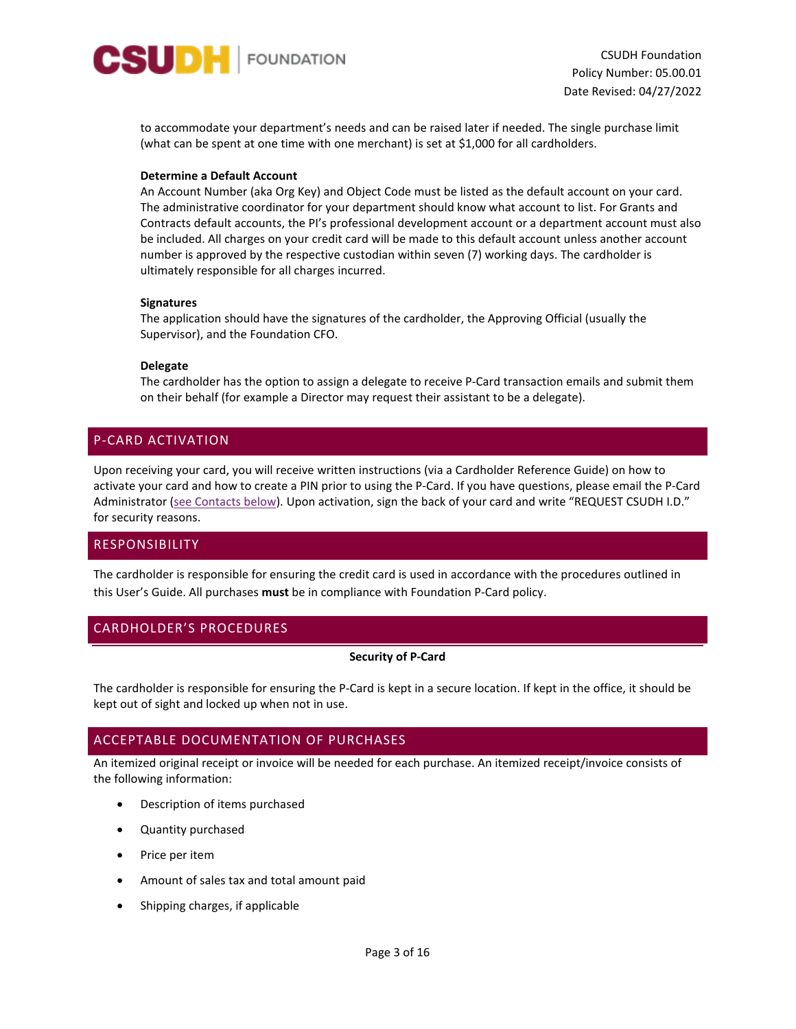

to accommodate your department's needs and can be raised later if needed. The single purchase limit (what can be spent at one time with one merchant) is set at \$1,000 for all cardholders.

#### **Determine a Default Account**

An Account Number (aka Org Key) and Object Code must be listed as the default account on your card. The administrative coordinator for your department should know what account to list. For Grants and Contracts default accounts, the PI's professional development account or a department account must also be included. All charges on your credit card will be made to this default account unless another account number is approved by the respective custodian within seven (7) working days. The cardholder is ultimately responsible for all charges incurred.

#### **Signatures**

The application should have the signatures of the cardholder, the Approving Official (usually the Supervisor), and the Foundation CFO.

#### **Delegate**

The cardholder has the option to assign a delegate to receive P-Card transaction emails and submit them on their behalf (for example a Director may request their assistant to be a delegate).

## <span id="page-2-0"></span>P-CARD ACTIVATION

Upon receiving your card, you will receive written instructions (via a Cardholder Reference Guide) on how to activate your card and how to create a PIN prior to using the P-Card. If you have questions, please email the P-Card Administrator [\(see Contacts below\)](#page-11-2). Upon activation, sign the back of your card and write "REQUEST CSUDH I.D." for security reasons.

## <span id="page-2-1"></span>RESPONSIBILITY

The cardholder is responsible for ensuring the credit card is used in accordance with the procedures outlined in this User's Guide. All purchases **must** be in compliance with Foundation P-Card policy.

## <span id="page-2-3"></span><span id="page-2-2"></span>CARDHOLDER'S PROCEDURES

## **Security of P-Card**

The cardholder is responsible for ensuring the P-Card is kept in a secure location. If kept in the office, it should be kept out of sight and locked up when not in use.

## <span id="page-2-4"></span>ACCEPTABLE DOCUMENTATION OF PURCHASES

An itemized original receipt or invoice will be needed for each purchase. An itemized receipt/invoice consists of the following information:

- Description of items purchased
- Quantity purchased
- Price per item
- Amount of sales tax and total amount paid
- Shipping charges, if applicable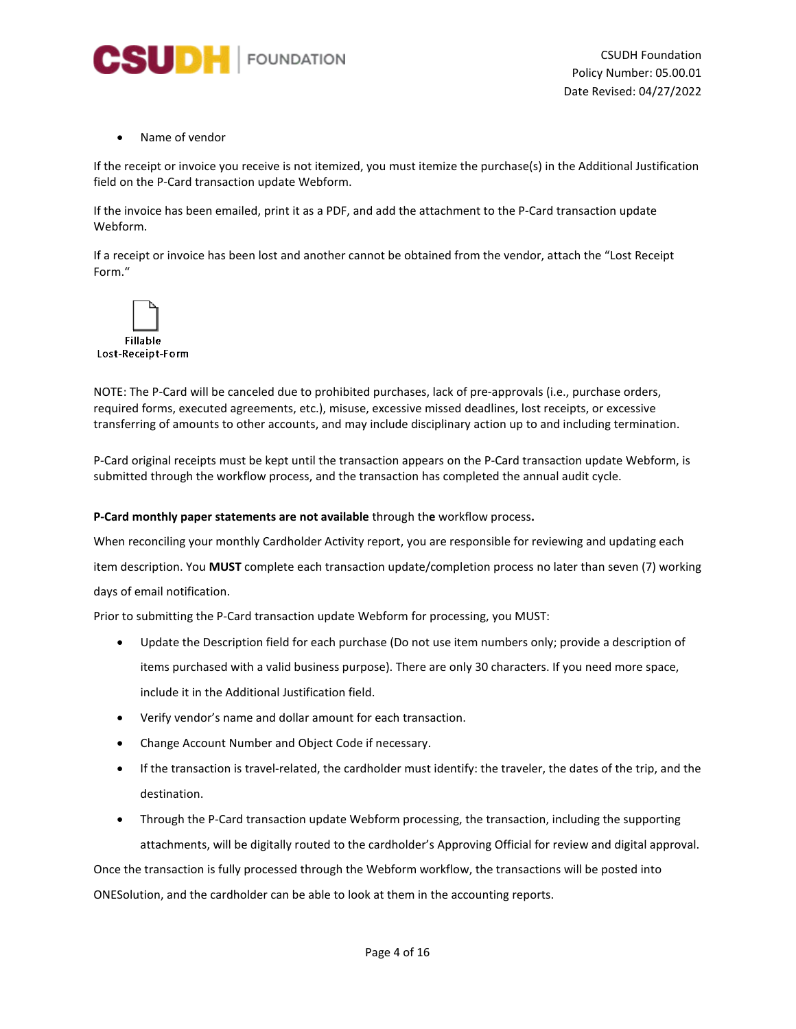

Name of vendor

If the receipt or invoice you receive is not itemized, you must itemize the purchase(s) in the Additional Justification field on the P-Card transaction update Webform.

If the invoice has been emailed, print it as a PDF, and add the attachment to the P-Card transaction update Webform.

If a receipt or invoice has been lost and another cannot be obtained from the vendor, attach the "Lost Receipt Form."



NOTE: The P-Card will be canceled due to prohibited purchases, lack of pre-approvals (i.e., purchase orders, required forms, executed agreements, etc.), misuse, excessive missed deadlines, lost receipts, or excessive transferring of amounts to other accounts, and may include disciplinary action up to and including termination.

P-Card original receipts must be kept until the transaction appears on the P-Card transaction update Webform, is submitted through the workflow process, and the transaction has completed the annual audit cycle.

#### **P-Card monthly paper statements are not available** through th**e** workflow process**.**

When reconciling your monthly Cardholder Activity report, you are responsible for reviewing and updating each item description. You **MUST** complete each transaction update/completion process no later than seven (7) working days of email notification.

Prior to submitting the P-Card transaction update Webform for processing, you MUST:

- Update the Description field for each purchase (Do not use item numbers only; provide a description of items purchased with a valid business purpose). There are only 30 characters. If you need more space, include it in the Additional Justification field.
- Verify vendor's name and dollar amount for each transaction.
- Change Account Number and Object Code if necessary.
- If the transaction is travel-related, the cardholder must identify: the traveler, the dates of the trip, and the destination.
- Through the P-Card transaction update Webform processing, the transaction, including the supporting attachments, will be digitally routed to the cardholder's Approving Official for review and digital approval.

Once the transaction is fully processed through the Webform workflow, the transactions will be posted into ONESolution, and the cardholder can be able to look at them in the accounting reports.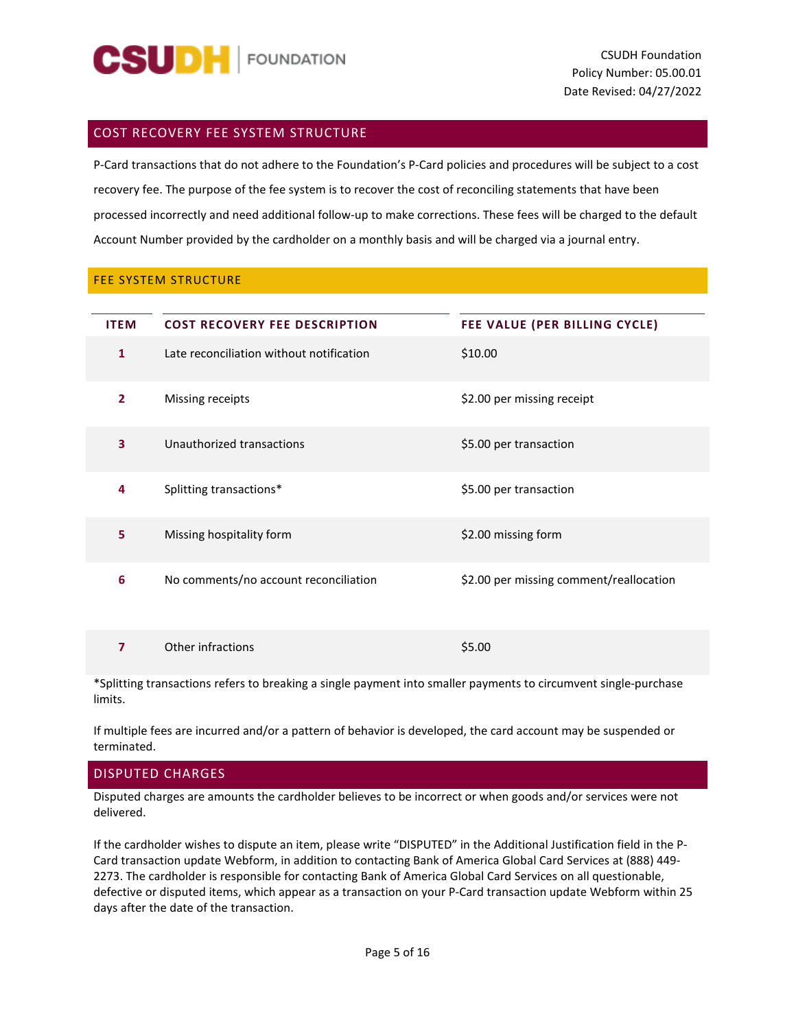

## <span id="page-4-0"></span>COST RECOVERY FEE SYSTEM STRUCTURE

P-Card transactions that do not adhere to the Foundation's P-Card policies and procedures will be subject to a cost recovery fee. The purpose of the fee system is to recover the cost of reconciling statements that have been processed incorrectly and need additional follow-up to make corrections. These fees will be charged to the default Account Number provided by the cardholder on a monthly basis and will be charged via a journal entry.

## <span id="page-4-4"></span><span id="page-4-1"></span>FEE SYSTEM STRUCTURE

<span id="page-4-3"></span><span id="page-4-2"></span>

| <b>ITEM</b>    | <b>COST RECOVERY FEE DESCRIPTION</b>     | FEE VALUE (PER BILLING CYCLE)           |
|----------------|------------------------------------------|-----------------------------------------|
| 1              | Late reconciliation without notification | \$10.00                                 |
| $\overline{2}$ | Missing receipts                         | \$2.00 per missing receipt              |
| 3              | Unauthorized transactions                | \$5.00 per transaction                  |
| 4              | Splitting transactions*                  | \$5.00 per transaction                  |
| 5              | Missing hospitality form                 | \$2.00 missing form                     |
| 6              | No comments/no account reconciliation    | \$2.00 per missing comment/reallocation |
| 7              | Other infractions                        | \$5.00                                  |

\*Splitting transactions refers to breaking a single payment into smaller payments to circumvent single-purchase limits.

If multiple fees are incurred and/or a pattern of behavior is developed, the card account may be suspended or terminated.

## <span id="page-4-5"></span>DISPUTED CHARGES

Disputed charges are amounts the cardholder believes to be incorrect or when goods and/or services were not delivered.

If the cardholder wishes to dispute an item, please write "DISPUTED" in the Additional Justification field in the P-Card transaction update Webform, in addition to contacting Bank of America Global Card Services at (888) 449- 2273. The cardholder is responsible for contacting Bank of America Global Card Services on all questionable, defective or disputed items, which appear as a transaction on your P-Card transaction update Webform within 25 days after the date of the transaction.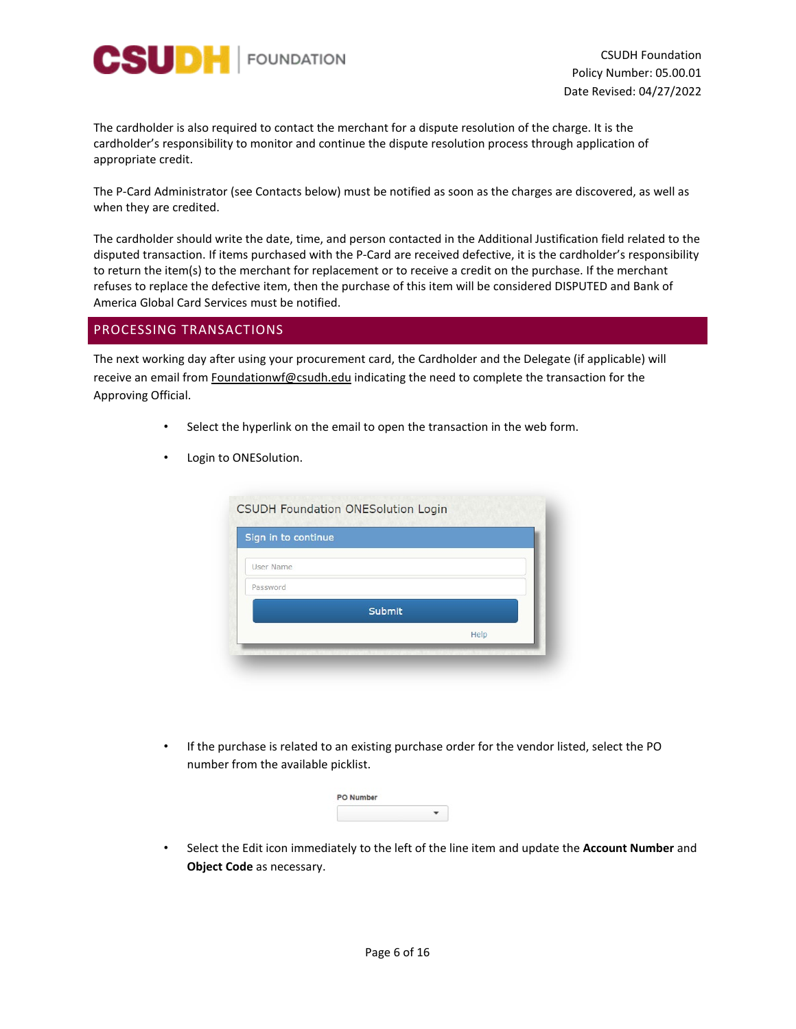

The cardholder is also required to contact the merchant for a dispute resolution of the charge. It is the cardholder's responsibility to monitor and continue the dispute resolution process through application of appropriate credit.

The P-Card Administrator (see Contacts below) must be notified as soon as the charges are discovered, as well as when they are credited.

The cardholder should write the date, time, and person contacted in the Additional Justification field related to the disputed transaction. If items purchased with the P-Card are received defective, it is the cardholder's responsibility to return the item(s) to the merchant for replacement or to receive a credit on the purchase. If the merchant refuses to replace the defective item, then the purchase of this item will be considered DISPUTED and Bank of America Global Card Services must be notified.

## <span id="page-5-0"></span>PROCESSING TRANSACTIONS

The next working day after using your procurement card, the Cardholder and the Delegate (if applicable) will receive an email from Foundationwf@csudh.edu indicating the need to complete the transaction for the Approving Official.

- Select the hyperlink on the email to open the transaction in the web form.
- Login to ONESolution.

| Sign in to continue |        |
|---------------------|--------|
| User Name           |        |
| Password            |        |
|                     | Submit |
|                     | Help   |

• If the purchase is related to an existing purchase order for the vendor listed, select the PO number from the available picklist.

| O Number<br>16. stor |  |
|----------------------|--|
|                      |  |

• Select the Edit icon immediately to the left of the line item and update the **Account Number** and **Object Code** as necessary.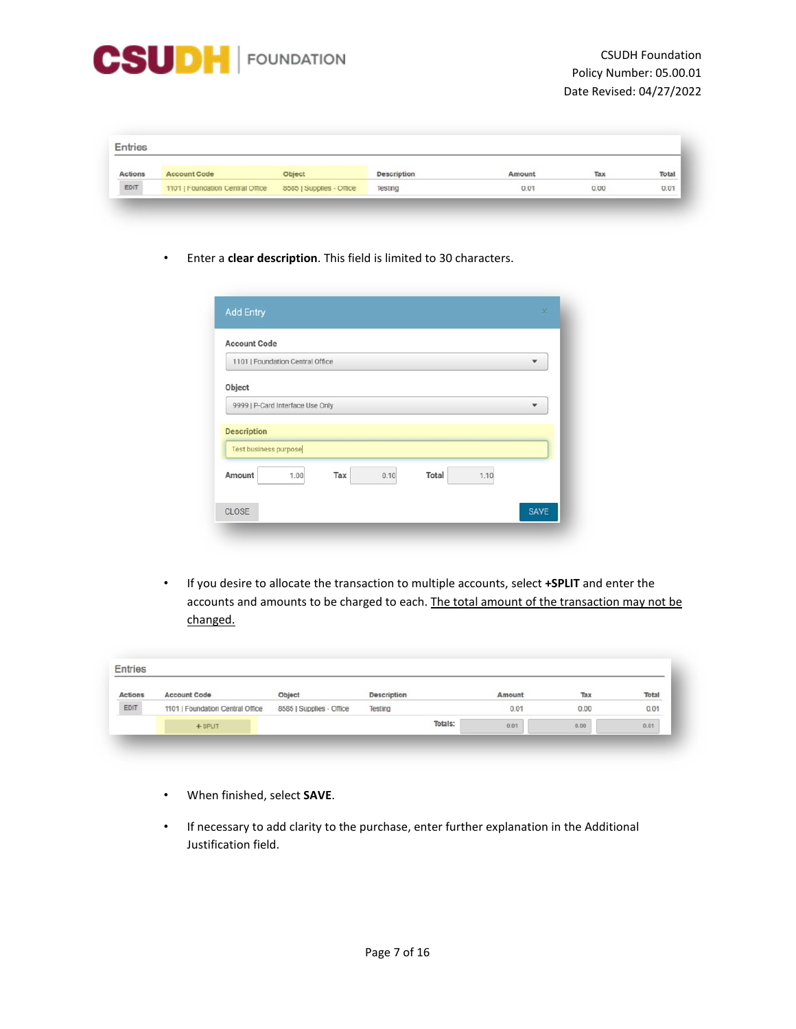

| <b>Actions</b> | <b>Account Code</b>              | Object                   | cription | Amount | Tax  | Total |
|----------------|----------------------------------|--------------------------|----------|--------|------|-------|
| EDIT           | 1101   Foundation Central Office | 8585   Supplies - Office | Testing  | 0.01   | 0.00 | 0.01  |

• Enter a **clear description**. This field is limited to 30 characters.

|     |                                                                                                       |              |      | ▼ |
|-----|-------------------------------------------------------------------------------------------------------|--------------|------|---|
|     |                                                                                                       |              |      |   |
|     |                                                                                                       |              |      |   |
|     |                                                                                                       |              |      |   |
| Tax | 0.10                                                                                                  | <b>Total</b> | 1.10 |   |
|     |                                                                                                       |              |      |   |
|     | 1101   Foundation Central Office<br>9999   P-Card Interface Use Only<br>Test business purpose<br>1.00 |              |      |   |

• If you desire to allocate the transaction to multiple accounts, select **+SPLIT** and enter the accounts and amounts to be charged to each. The total amount of the transaction may not be changed.

| <b>Entries</b> |                                  |                          |                    |         |        |      |       |
|----------------|----------------------------------|--------------------------|--------------------|---------|--------|------|-------|
| <b>Actions</b> | <b>Account Code</b>              | Object                   | <b>Description</b> |         | Amount | Tax  | Total |
| EDIT           | 1101   Foundation Central Office | 8585   Supplies - Office | Testing            |         | 0.01   | 0.00 | 0.01  |
|                | $+$ SPLIT                        |                          |                    | Totals: | 0.01   | 0.00 | 0.01  |

- When finished, select **SAVE**.
- If necessary to add clarity to the purchase, enter further explanation in the Additional Justification field.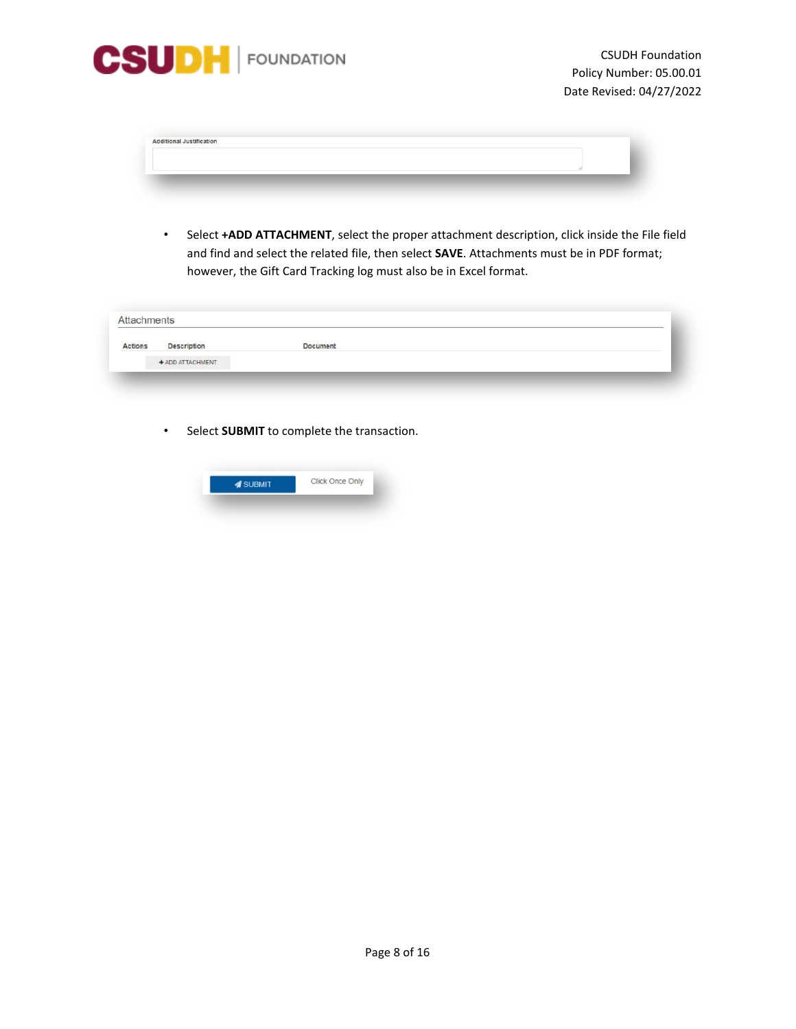

| <b>Additional Justification</b> |  | ۰ |
|---------------------------------|--|---|
|                                 |  |   |
|                                 |  |   |

• Select **+ADD ATTACHMENT**, select the proper attachment description, click inside the File field and find and select the related file, then select **SAVE**. Attachments must be in PDF format; however, the Gift Card Tracking log must also be in Excel format.

| Actions | Description      | Document |  |
|---------|------------------|----------|--|
|         | + ADD ATTACHMENT |          |  |

• Select **SUBMIT** to complete the transaction.

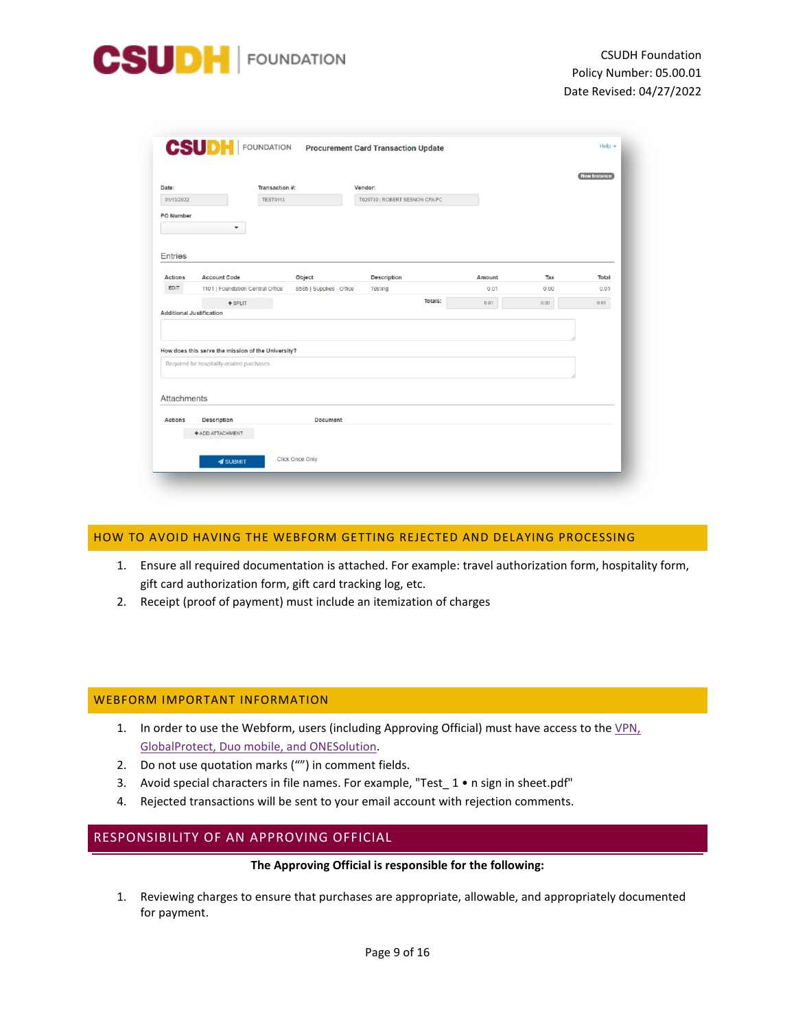

|                    | Transaction #:                                     |                          | Vendor:                        |        |      |       |
|--------------------|----------------------------------------------------|--------------------------|--------------------------------|--------|------|-------|
| 01/13/2022         | <b>TEST0113</b>                                    |                          | T029730   ROBERT SESNON CPA PC |        |      |       |
| PO Number          |                                                    |                          |                                |        |      |       |
|                    | $\blacktriangledown$                               |                          |                                |        |      |       |
|                    |                                                    |                          |                                |        |      |       |
| <b>Entries</b>     |                                                    |                          |                                |        |      |       |
| <b>Actions</b>     | <b>Account Code</b>                                | Object                   | Description                    | Amount | Тах  | Total |
| EDIT               | 1101   Foundation Central Office                   | 8585   Supplies - Office | Testing                        | 0.01   | 0.00 | 0.01  |
|                    | $+$ SPLIT                                          |                          | Totals:                        | 0.01   | 0.00 | 0.01  |
|                    | <b>Additional Justification</b>                    |                          |                                |        |      |       |
|                    |                                                    |                          |                                |        |      |       |
|                    |                                                    |                          |                                |        |      |       |
|                    |                                                    |                          |                                |        |      |       |
|                    | How does this serve the mission of the University? |                          |                                |        |      |       |
|                    | Required for hospitality-related purchases.        |                          |                                |        |      |       |
|                    |                                                    |                          |                                |        |      |       |
|                    |                                                    |                          |                                |        |      |       |
|                    |                                                    |                          |                                |        |      |       |
|                    |                                                    |                          |                                |        |      |       |
| <b>Attachments</b> |                                                    |                          |                                |        |      |       |
|                    |                                                    |                          |                                |        |      |       |
| Actions            | <b>Description</b>                                 | <b>Document</b>          |                                |        |      |       |
|                    | + ADD ATTACHMENT                                   |                          |                                |        |      |       |

## <span id="page-8-0"></span>HOW TO AVOID HAVING THE WEBFORM GETTING REJECTED AND DELAYING PROCESSING

- 1. Ensure all required documentation is attached. For example: travel authorization form, hospitality form, gift card authorization form, gift card tracking log, etc.
- 2. Receipt (proof of payment) must include an itemization of charges

#### <span id="page-8-1"></span>WEBFORM IMPORTANT INFORMATION

- 1. In order to use the Webform, users (including Approving Official) must have access to the VPN, [GlobalProtect, Duo mobile,](https://csudhfoundation.com/wp-content/uploads/2020/03/I.T-Remote-Access.pdf) and ONESolution.
- 2. Do not use quotation marks ("") in comment fields.
- 3. Avoid special characters in file names. For example, "Test\_ 1 n sign in sheet.pdf"
- 4. Rejected transactions will be sent to your email account with rejection comments.

## <span id="page-8-3"></span><span id="page-8-2"></span>RESPONSIBILITY OF AN APPROVING OFFICIAL

#### **The Approving Official is responsible for the following:**

1. Reviewing charges to ensure that purchases are appropriate, allowable, and appropriately documented for payment.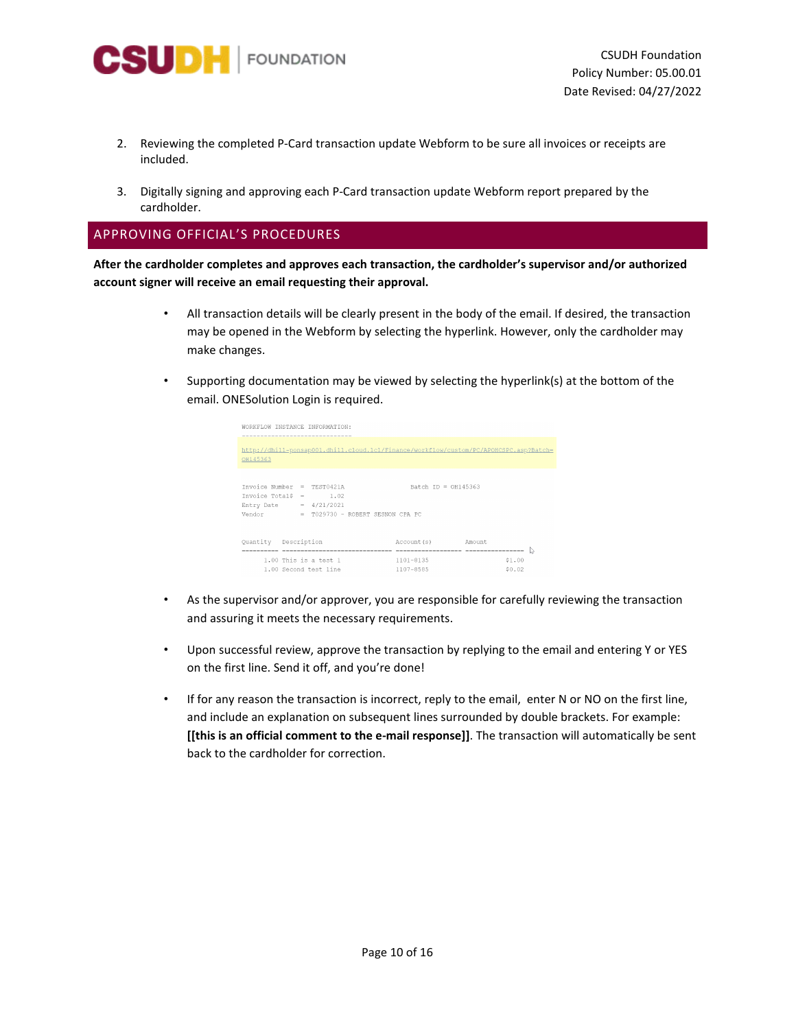

- 2. Reviewing the completed P-Card transaction update Webform to be sure all invoices or receipts are included.
- 3. Digitally signing and approving each P-Card transaction update Webform report prepared by the cardholder.

## <span id="page-9-0"></span>APPROVING OFFICIAL'S PROCEDURES

**After the cardholder completes and approves each transaction, the cardholder's supervisor and/or authorized account signer will receive an email requesting their approval.**

- All transaction details will be clearly present in the body of the email. If desired, the transaction may be opened in the Webform by selecting the hyperlink. However, only the cardholder may make changes.
- Supporting documentation may be viewed by selecting the hyperlink(s) at the bottom of the email. ONESolution Login is required.

| OH145363                     | http://dhill-ponsap001.dhill.cloud.lcl/Finance/workflow/custom/PC/APOHCSPC.asp?Batch= |                       |                      |        |  |
|------------------------------|---------------------------------------------------------------------------------------|-----------------------|----------------------|--------|--|
| $Invoice Number = TEST0421A$ |                                                                                       | Batch $ID = OH145363$ |                      |        |  |
| Invoice TotalS = $1.02$      |                                                                                       |                       |                      |        |  |
| Entry Date = $4/21/2021$     |                                                                                       |                       |                      |        |  |
| Vendor                       | = T029730 - ROBERT SESNON CPA PC                                                      |                       |                      |        |  |
| Quantity Description         |                                                                                       | Account (s)           | Amount.              |        |  |
| ----------------             |                                                                                       |                       | -------------------- |        |  |
|                              | 1.00 This is a test 1                                                                 | $1101 - 8135$         |                      | \$1.00 |  |
|                              | 1.00 Second test line                                                                 | 1107-8585             |                      | \$0.02 |  |

- As the supervisor and/or approver, you are responsible for carefully reviewing the transaction and assuring it meets the necessary requirements.
- Upon successful review, approve the transaction by replying to the email and entering Y or YES on the first line. Send it off, and you're done!
- If for any reason the transaction is incorrect, reply to the email, enter N or NO on the first line, and include an explanation on subsequent lines surrounded by double brackets. For example: **[[this is an official comment to the e-mail response]]**. The transaction will automatically be sent back to the cardholder for correction.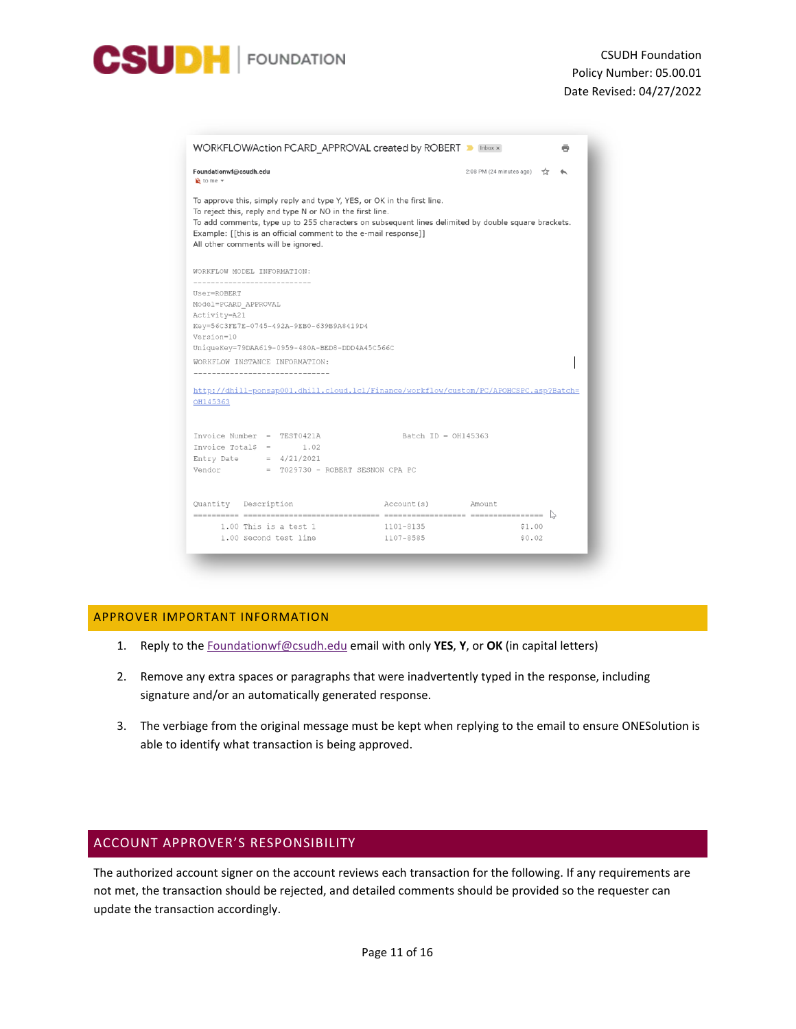

| WORKFLOW/Action PCARD APPROVAL created by ROBERT D Inbox x                                                                                                                                                                                                                                                                                            |                          |
|-------------------------------------------------------------------------------------------------------------------------------------------------------------------------------------------------------------------------------------------------------------------------------------------------------------------------------------------------------|--------------------------|
| Foundationwf@csudh.edu<br>$\mathbf{v}$ to me $\mathbf{v}$                                                                                                                                                                                                                                                                                             | 2:08 PM (24 minutes ago) |
| To approve this, simply reply and type Y, YES, or OK in the first line.<br>To reject this, reply and type N or NO in the first line.<br>To add comments, type up to 255 characters on subsequent lines delimited by double square brackets.<br>Example: [[this is an official comment to the e-mail response]]<br>All other comments will be ignored. |                          |
| WORKFLOW MODEL INFORMATION:                                                                                                                                                                                                                                                                                                                           |                          |
| User=ROBERT<br>Model=PCARD APPROVAL<br>Activity=A21<br>Key=56C3FE7E-0745-492A-9EB0-639B9A8419D4<br>Version=10<br>UniqueKey=79DAA619-0959-480A-BED8-DDD4A45C566C<br>WORKFLOW INSTANCE INFORMATION:<br>-------------------------------<br>http://dhill-ponsap001.dhill.cloud.lcl/Finance/workflow/custom/PC/APOHCSPC.asp?Batch=<br>OH145363             |                          |
| Invoice Number = TEST0421A<br>Invoice Total\$ =<br>1.02<br>Entry Date = $4/21/2021$<br>$Vendor = T029730 - ROBERT SESNON CPA PC$                                                                                                                                                                                                                      | Batch $ID = OH145363$    |
| Quantity Description                                                                                                                                                                                                                                                                                                                                  | Account (s)<br>Amount    |
| $1.00$ This is a test $1$<br>1101-8135<br>1.00 Second test line<br>1107-8585                                                                                                                                                                                                                                                                          | \$1.00<br>\$0.02         |

## <span id="page-10-0"></span>APPROVER IMPORTANT INFORMATION

- 1. Reply to th[e Foundationwf@csudh.edu](mailto:Foundationwf@csudh.edu) email with only **YES**, **Y**, or **OK** (in capital letters)
- 2. Remove any extra spaces or paragraphs that were inadvertently typed in the response, including signature and/or an automatically generated response.
- 3. The verbiage from the original message must be kept when replying to the email to ensure ONESolution is able to identify what transaction is being approved.

## <span id="page-10-1"></span>ACCOUNT APPROVER'S RESPONSIBILITY

The authorized account signer on the account reviews each transaction for the following. If any requirements are not met, the transaction should be rejected, and detailed comments should be provided so the requester can update the transaction accordingly.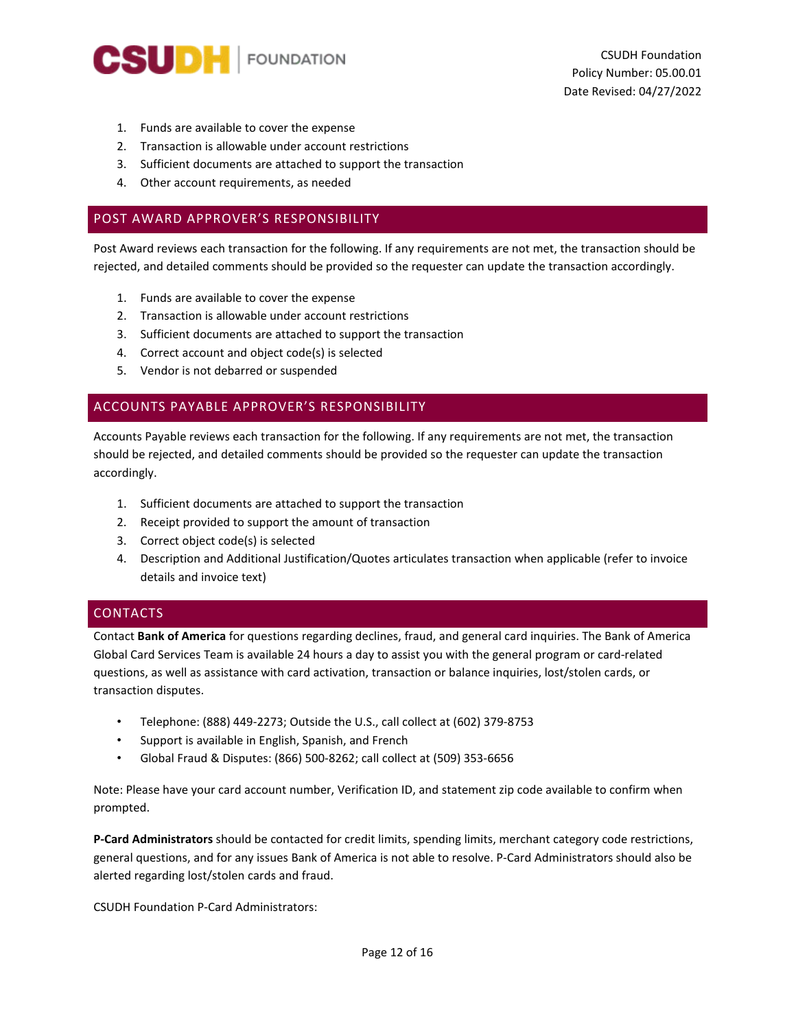

- 1. Funds are available to cover the expense
- 2. Transaction is allowable under account restrictions
- 3. Sufficient documents are attached to support the transaction
- 4. Other account requirements, as needed

## <span id="page-11-0"></span>POST AWARD APPROVER'S RESPONSIBILITY

Post Award reviews each transaction for the following. If any requirements are not met, the transaction should be rejected, and detailed comments should be provided so the requester can update the transaction accordingly.

- 1. Funds are available to cover the expense
- 2. Transaction is allowable under account restrictions
- 3. Sufficient documents are attached to support the transaction
- 4. Correct account and object code(s) is selected
- 5. Vendor is not debarred or suspended

## <span id="page-11-1"></span>ACCOUNTS PAYABLE APPROVER'S RESPONSIBILITY

Accounts Payable reviews each transaction for the following. If any requirements are not met, the transaction should be rejected, and detailed comments should be provided so the requester can update the transaction accordingly.

- 1. Sufficient documents are attached to support the transaction
- 2. Receipt provided to support the amount of transaction
- 3. Correct object code(s) is selected
- 4. Description and Additional Justification/Quotes articulates transaction when applicable (refer to invoice details and invoice text)

## <span id="page-11-2"></span>CONTACTS

Contact **Bank of America** for questions regarding declines, fraud, and general card inquiries. The Bank of America Global Card Services Team is available 24 hours a day to assist you with the general program or card-related questions, as well as assistance with card activation, transaction or balance inquiries, lost/stolen cards, or transaction disputes.

- Telephone: (888) 449-2273; Outside the U.S., call collect at (602) 379-8753
- Support is available in English, Spanish, and French
- Global Fraud & Disputes: (866) 500-8262; call collect at (509) 353-6656

Note: Please have your card account number, Verification ID, and statement zip code available to confirm when prompted.

**P-Card Administrators** should be contacted for credit limits, spending limits, merchant category code restrictions, general questions, and for any issues Bank of America is not able to resolve. P-Card Administrators should also be alerted regarding lost/stolen cards and fraud.

CSUDH Foundation P-Card Administrators: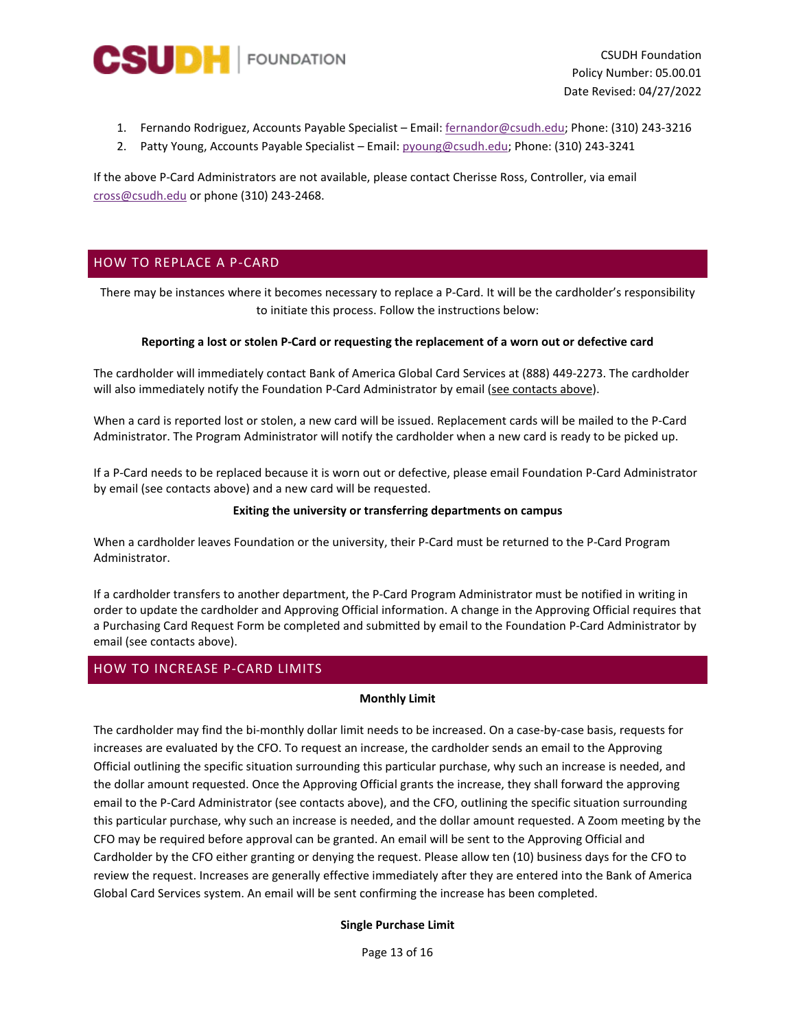

CSUDH Foundation Policy Number: 05.00.01 Date Revised: 04/27/2022

- 1. Fernando Rodriguez, Accounts Payable Specialist Email: [fernandor@csudh.edu;](mailto:fernandor@csudh.edu) Phone: (310) 243-3216
- 2. Patty Young, Accounts Payable Specialist Email: [pyoung@csudh.edu;](mailto:pyoung@csudh.edu) Phone: (310) 243-3241

If the above P-Card Administrators are not available, please contact Cherisse Ross, Controller, via email [cross@csudh.edu](mailto:cross@csudh.edu) or phone (310) 243-2468.

## <span id="page-12-0"></span>HOW TO REPLACE A P-CARD

There may be instances where it becomes necessary to replace a P-Card. It will be the cardholder's responsibility to initiate this process. Follow the instructions below:

#### **Reporting a lost or stolen P-Card or requesting the replacement of a worn out or defective card**

The cardholder will immediately contact Bank of America Global Card Services at (888) 449-2273. The cardholder will also immediately notify the Foundation P-Card Administrator by email [\(see contacts above\)](#page-11-2).

When a card is reported lost or stolen, a new card will be issued. Replacement cards will be mailed to the P-Card Administrator. The Program Administrator will notify the cardholder when a new card is ready to be picked up.

If a P-Card needs to be replaced because it is worn out or defective, please email Foundation P-Card Administrator by email (see contacts above) and a new card will be requested.

#### **Exiting the university or transferring departments on campus**

When a cardholder leaves Foundation or the university, their P-Card must be returned to the P-Card Program Administrator.

If a cardholder transfers to another department, the P-Card Program Administrator must be notified in writing in order to update the cardholder and Approving Official information. A change in the Approving Official requires that a Purchasing Card Request Form be completed and submitted by email to the Foundation P-Card Administrator by email (see contacts above).

## <span id="page-12-1"></span>HOW TO INCREASE P-CARD LIMITS

#### **Monthly Limit**

The cardholder may find the bi-monthly dollar limit needs to be increased. On a case-by-case basis, requests for increases are evaluated by the CFO. To request an increase, the cardholder sends an email to the Approving Official outlining the specific situation surrounding this particular purchase, why such an increase is needed, and the dollar amount requested. Once the Approving Official grants the increase, they shall forward the approving email to the P-Card Administrator (see contacts above), and the CFO, outlining the specific situation surrounding this particular purchase, why such an increase is needed, and the dollar amount requested. A Zoom meeting by the CFO may be required before approval can be granted. An email will be sent to the Approving Official and Cardholder by the CFO either granting or denying the request. Please allow ten (10) business days for the CFO to review the request. Increases are generally effective immediately after they are entered into the Bank of America Global Card Services system. An email will be sent confirming the increase has been completed.

#### **Single Purchase Limit**

Page 13 of 16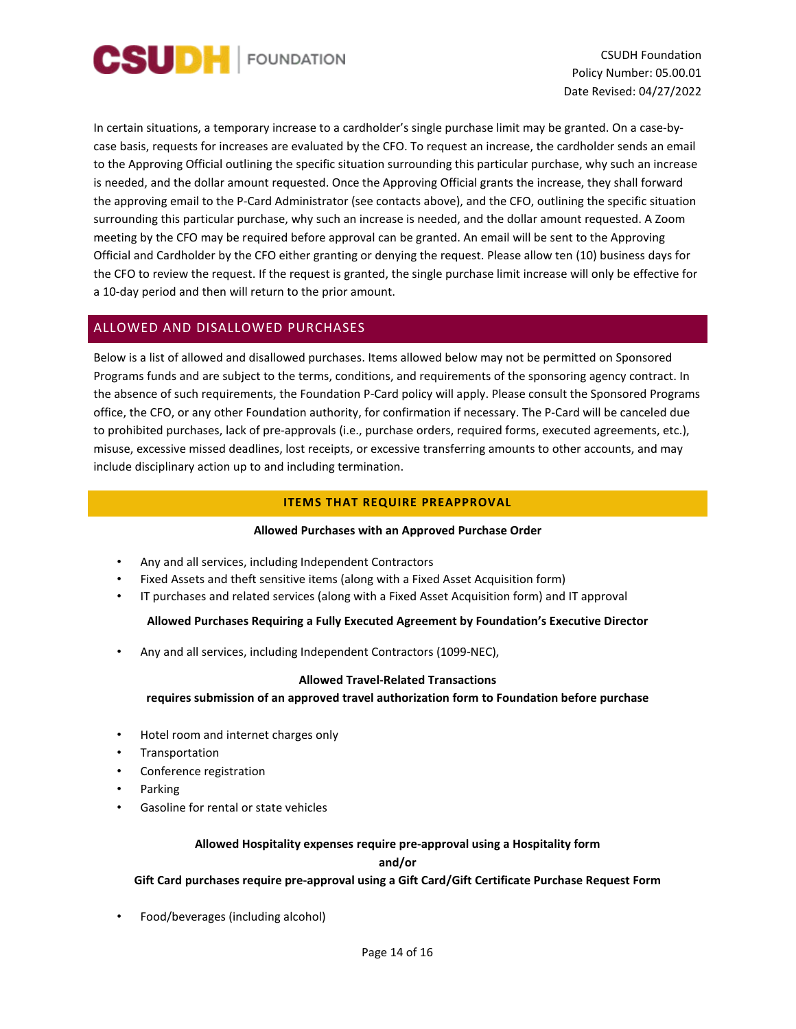

CSUDH Foundation Policy Number: 05.00.01 Date Revised: 04/27/2022

In certain situations, a temporary increase to a cardholder's single purchase limit may be granted. On a case-bycase basis, requests for increases are evaluated by the CFO. To request an increase, the cardholder sends an email to the Approving Official outlining the specific situation surrounding this particular purchase, why such an increase is needed, and the dollar amount requested. Once the Approving Official grants the increase, they shall forward the approving email to the P-Card Administrator (see contacts above), and the CFO, outlining the specific situation surrounding this particular purchase, why such an increase is needed, and the dollar amount requested. A Zoom meeting by the CFO may be required before approval can be granted. An email will be sent to the Approving Official and Cardholder by the CFO either granting or denying the request. Please allow ten (10) business days for the CFO to review the request. If the request is granted, the single purchase limit increase will only be effective for a 10-day period and then will return to the prior amount.

## <span id="page-13-0"></span>ALLOWED AND DISALLOWED PURCHASES

Below is a list of allowed and disallowed purchases. Items allowed below may not be permitted on Sponsored Programs funds and are subject to the terms, conditions, and requirements of the sponsoring agency contract. In the absence of such requirements, the Foundation P-Card policy will apply. Please consult the Sponsored Programs office, the CFO, or any other Foundation authority, for confirmation if necessary. The P-Card will be canceled due to prohibited purchases, lack of pre-approvals (i.e., purchase orders, required forms, executed agreements, etc.), misuse, excessive missed deadlines, lost receipts, or excessive transferring amounts to other accounts, and may include disciplinary action up to and including termination.

#### **ITEMS THAT REQUIRE PREAPPROVAL**

#### **Allowed Purchases with an Approved Purchase Order**

- <span id="page-13-1"></span>• Any and all services, including Independent Contractors
- Fixed Assets and theft sensitive items (along with a Fixed Asset Acquisition form)
- IT purchases and related services (along with a Fixed Asset Acquisition form) and IT approval

#### **Allowed Purchases Requiring a Fully Executed Agreement by Foundation's Executive Director**

• Any and all services, including Independent Contractors (1099-NEC),

#### **Allowed Travel-Related Transactions**

**requires submission of an approved travel authorization form to Foundation before purchase**

- Hotel room and internet charges only
- **Transportation**
- Conference registration
- Parking
- Gasoline for rental or state vehicles

## **Allowed Hospitality expenses require pre-approval using a Hospitality form**

**and/or**

#### **Gift Card purchases require pre-approval using a Gift Card/Gift Certificate Purchase Request Form**

• Food/beverages (including alcohol)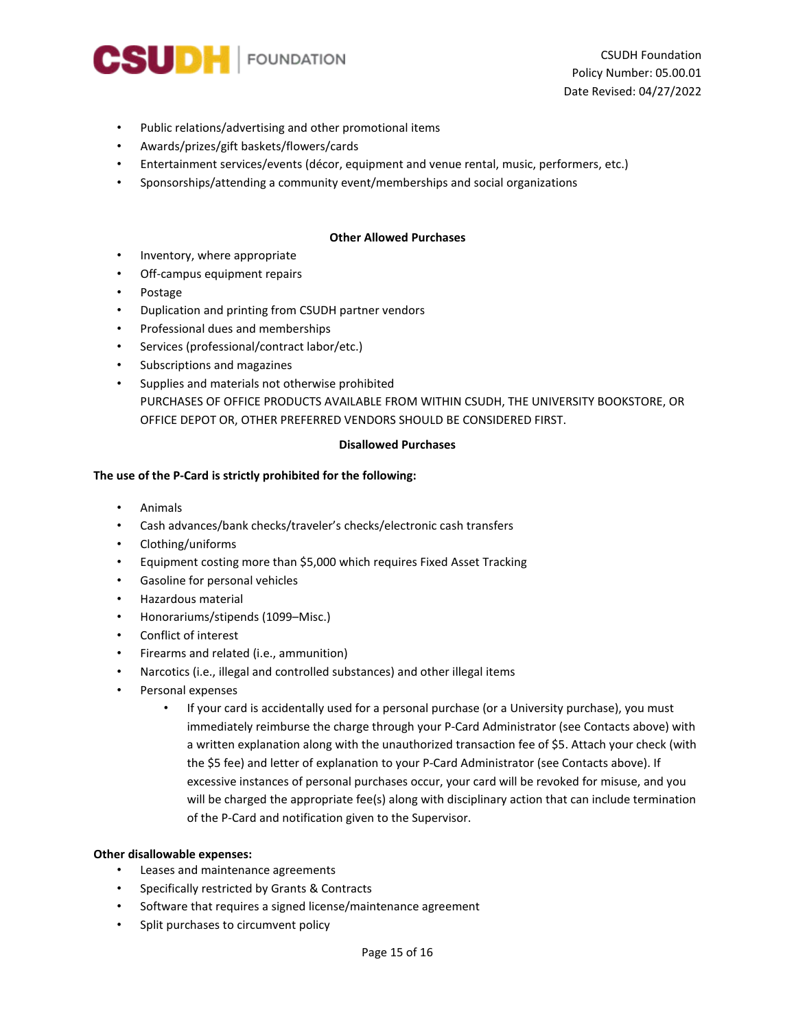

- Public relations/advertising and other promotional items
- Awards/prizes/gift baskets/flowers/cards
- Entertainment services/events (décor, equipment and venue rental, music, performers, etc.)
- Sponsorships/attending a community event/memberships and social organizations

#### **Other Allowed Purchases**

- Inventory, where appropriate
- Off-campus equipment repairs
- Postage
- Duplication and printing from CSUDH [partner vendors](https://www.afd.calpoly.edu/cprm/printing.asp?pid=2)
- Professional dues and memberships
- Services (professional/contract labor/etc.)
- Subscriptions and magazines
- Supplies and materials not otherwise prohibited PURCHASES OF OFFICE PRODUCTS AVAILABLE FROM WITHIN CSUDH, THE UNIVERSITY BOOKSTORE, OR OFFICE DEPOT OR, OTHER PREFERRED VENDORS SHOULD BE CONSIDERED FIRST.

#### **Disallowed Purchases**

## **The use of the P-Card is strictly prohibited for the following:**

- Animals
- Cash advances/bank checks/traveler's checks/electronic cash transfers
- Clothing/uniforms
- Equipment costing more than \$5,000 which requires Fixed Asset Tracking
- Gasoline for personal vehicles
- Hazardous material
- Honorariums/stipends (1099–Misc.)
- Conflict of interest
- Firearms and related (i.e., ammunition)
- Narcotics (i.e., illegal and controlled substances) and other illegal items
- Personal expenses
	- If your card is accidentally used for a personal purchase (or a University purchase), you must immediately reimburse the charge through your P-Card Administrator (see Contacts above) with a written explanation along with the unauthorized transaction fee of \$5. Attach your check (with the \$5 fee) and letter of explanation to your P-Card Administrator (see Contacts above). If excessive instances of personal purchases occur, your card will be revoked for misuse, and you will be charged the appropriate fee(s) along with disciplinary action that can include termination of the P-Card and notification given to the Supervisor.

## **Other disallowable expenses:**

- Leases and maintenance agreements
- Specifically restricted by Grants & Contracts
- Software that requires a signed license/maintenance agreement
- Split purchases to circumvent policy